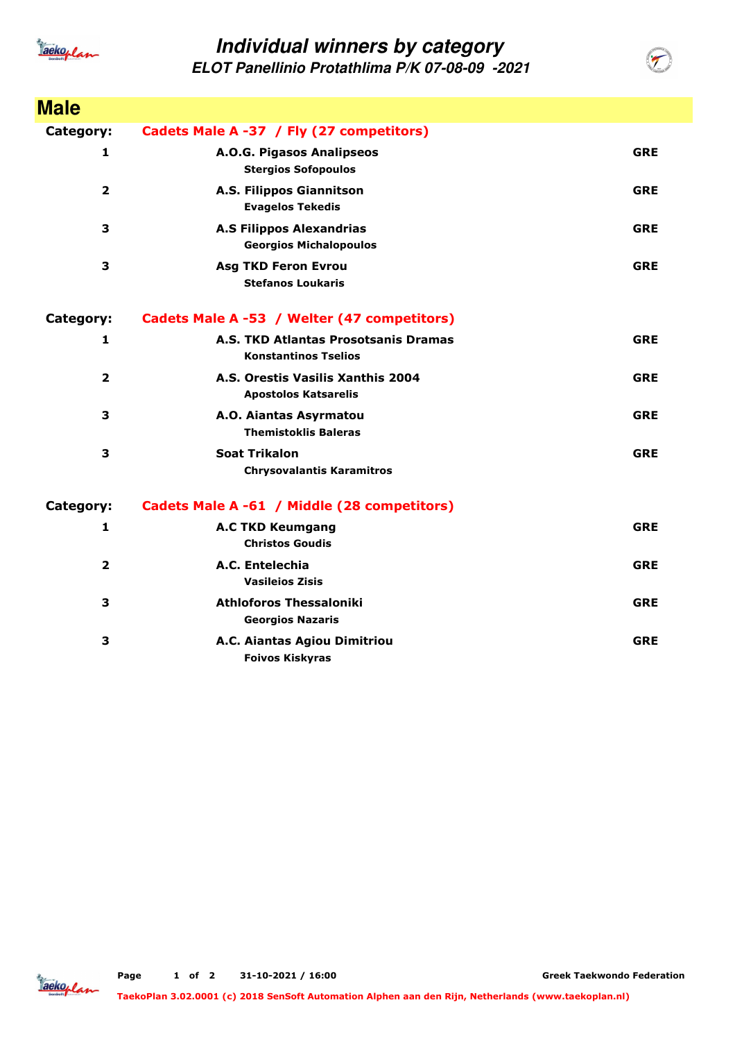

## **Individual winners by category**

**ELOT Panellinio Protathlima P/K 07-08-09 -2021**

| <b>Male</b>             |                                                                     |            |
|-------------------------|---------------------------------------------------------------------|------------|
| Category:               | Cadets Male A -37 / Fly (27 competitors)                            |            |
| 1                       | A.O.G. Pigasos Analipseos<br><b>Stergios Sofopoulos</b>             | <b>GRE</b> |
| $\overline{\mathbf{2}}$ | A.S. Filippos Giannitson<br><b>Evagelos Tekedis</b>                 | <b>GRE</b> |
| 3                       | <b>A.S Filippos Alexandrias</b><br><b>Georgios Michalopoulos</b>    | <b>GRE</b> |
| 3                       | <b>Asg TKD Feron Evrou</b><br><b>Stefanos Loukaris</b>              | <b>GRE</b> |
| <b>Category:</b>        | Cadets Male A -53 / Welter (47 competitors)                         |            |
| 1                       | A.S. TKD Atlantas Prosotsanis Dramas<br><b>Konstantinos Tselios</b> | <b>GRE</b> |
| $\overline{\mathbf{2}}$ | A.S. Orestis Vasilis Xanthis 2004<br><b>Apostolos Katsarelis</b>    | <b>GRE</b> |
| 3                       | A.O. Aiantas Asyrmatou<br><b>Themistoklis Baleras</b>               | <b>GRE</b> |
| 3                       | <b>Soat Trikalon</b><br><b>Chrysovalantis Karamitros</b>            | <b>GRE</b> |
| Category:               | Cadets Male A -61 / Middle (28 competitors)                         |            |
| $\mathbf{1}$            | <b>A.C TKD Keumgang</b><br><b>Christos Goudis</b>                   | <b>GRE</b> |
| $\overline{\mathbf{2}}$ | A.C. Entelechia<br><b>Vasileios Zisis</b>                           | <b>GRE</b> |
| 3                       | <b>Athloforos Thessaloniki</b><br><b>Georgios Nazaris</b>           | <b>GRE</b> |
| 3                       | A.C. Aiantas Agiou Dimitriou<br><b>Foivos Kiskyras</b>              | <b>GRE</b> |